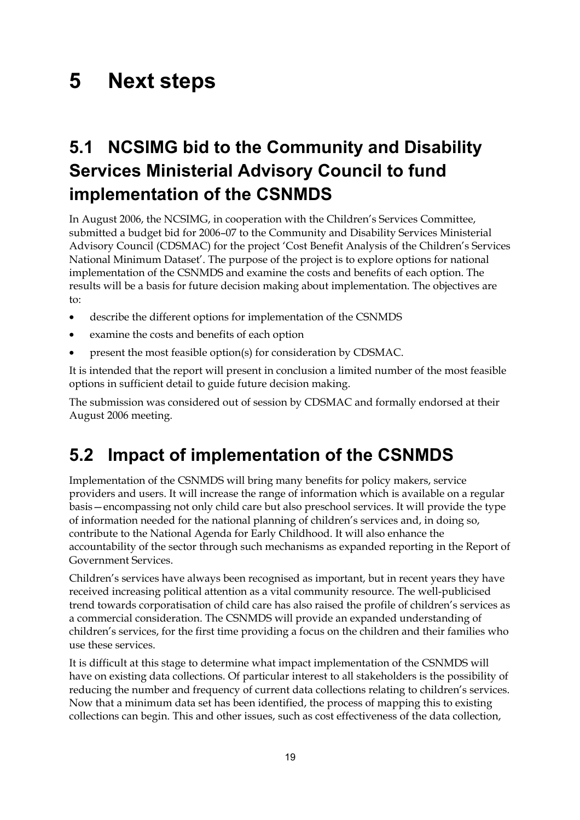## **5 Next steps**

## **5.1 NCSIMG bid to the Community and Disability Services Ministerial Advisory Council to fund implementation of the CSNMDS**

In August 2006, the NCSIMG, in cooperation with the Children's Services Committee, submitted a budget bid for 2006–07 to the Community and Disability Services Ministerial Advisory Council (CDSMAC) for the project 'Cost Benefit Analysis of the Children's Services National Minimum Dataset'. The purpose of the project is to explore options for national implementation of the CSNMDS and examine the costs and benefits of each option. The results will be a basis for future decision making about implementation. The objectives are to:

- describe the different options for implementation of the CSNMDS
- examine the costs and benefits of each option
- present the most feasible option(s) for consideration by CDSMAC.

It is intended that the report will present in conclusion a limited number of the most feasible options in sufficient detail to guide future decision making.

The submission was considered out of session by CDSMAC and formally endorsed at their August 2006 meeting.

## **5.2 Impact of implementation of the CSNMDS**

Implementation of the CSNMDS will bring many benefits for policy makers, service providers and users. It will increase the range of information which is available on a regular basis—encompassing not only child care but also preschool services. It will provide the type of information needed for the national planning of children's services and, in doing so, contribute to the National Agenda for Early Childhood. It will also enhance the accountability of the sector through such mechanisms as expanded reporting in the Report of Government Services.

Children's services have always been recognised as important, but in recent years they have received increasing political attention as a vital community resource. The well-publicised trend towards corporatisation of child care has also raised the profile of children's services as a commercial consideration. The CSNMDS will provide an expanded understanding of children's services, for the first time providing a focus on the children and their families who use these services.

It is difficult at this stage to determine what impact implementation of the CSNMDS will have on existing data collections. Of particular interest to all stakeholders is the possibility of reducing the number and frequency of current data collections relating to children's services. Now that a minimum data set has been identified, the process of mapping this to existing collections can begin. This and other issues, such as cost effectiveness of the data collection,